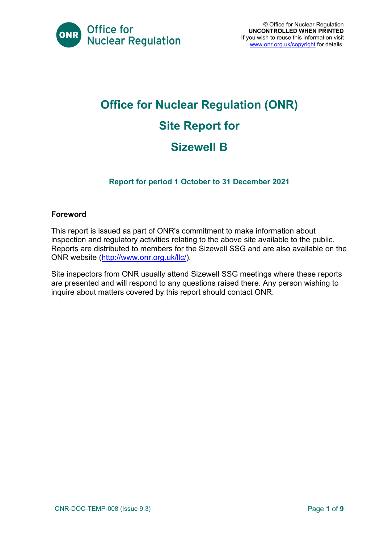

# **Office for Nuclear Regulation (ONR) Site Report for Sizewell B**

#### **Report for period 1 October to 31 December 2021**

#### **Foreword**

This report is issued as part of ONR's commitment to make information about inspection and regulatory activities relating to the above site available to the public. Reports are distributed to members for the Sizewell SSG and are also available on the ONR website [\(http://www.onr.org.uk/llc/\)](http://www.onr.org.uk/llc/).

Site inspectors from ONR usually attend Sizewell SSG meetings where these reports are presented and will respond to any questions raised there. Any person wishing to inquire about matters covered by this report should contact ONR.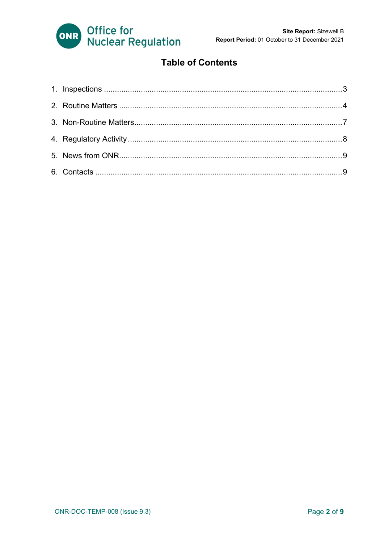

### **Table of Contents**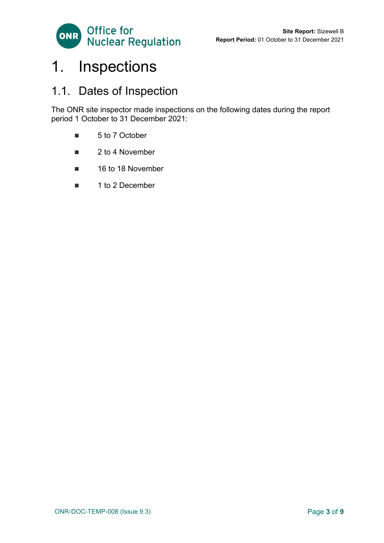

## <span id="page-2-0"></span>1. Inspections

### 1.1. Dates of Inspection

The ONR site inspector made inspections on the following dates during the report period 1 October to 31 December 2021:

- 5 to 7 October
- 2 to 4 November
- 16 to 18 November
- 1 to 2 December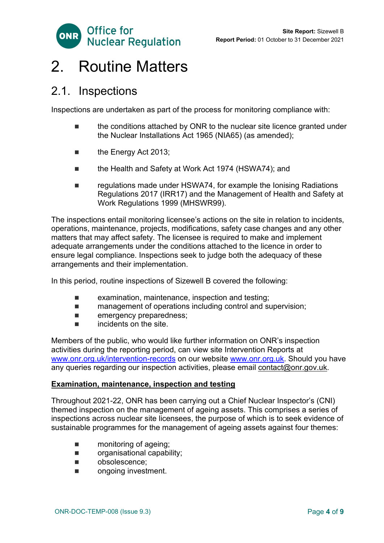

### <span id="page-3-0"></span>2. Routine Matters

### 2.1. Inspections

Inspections are undertaken as part of the process for monitoring compliance with:

- the conditions attached by ONR to the nuclear site licence granted under the Nuclear Installations Act 1965 (NIA65) (as amended);
- the Energy Act 2013;
- the Health and Safety at Work Act 1974 (HSWA74); and
- regulations made under HSWA74, for example the Ionising Radiations Regulations 2017 (IRR17) and the Management of Health and Safety at Work Regulations 1999 (MHSWR99).

The inspections entail monitoring licensee's actions on the site in relation to incidents, operations, maintenance, projects, modifications, safety case changes and any other matters that may affect safety. The licensee is required to make and implement adequate arrangements under the conditions attached to the licence in order to ensure legal compliance. Inspections seek to judge both the adequacy of these arrangements and their implementation.

In this period, routine inspections of Sizewell B covered the following:

- **EXAMINATION** examination, maintenance, inspection and testing;
- management of operations including control and supervision;
- **E** emergency preparedness;
- $\blacksquare$  incidents on the site.

Members of the public, who would like further information on ONR's inspection activities during the reporting period, can view site Intervention Reports at [www.onr.org.uk/intervention-records](http://www.onr.org.uk./intervention-records) on our website [www.onr.org.uk.](http://www.onr.org.uk/) Should you have any queries regarding our inspection activities, please email [contact@onr.gov.uk.](mailto:contact@onr.gov.uk)

#### **Examination, maintenance, inspection and testing**

Throughout 2021-22, ONR has been carrying out a Chief Nuclear Inspector's (CNI) themed inspection on the management of ageing assets. This comprises a series of inspections across nuclear site licensees, the purpose of which is to seek evidence of sustainable programmes for the management of ageing assets against four themes:

- **n** monitoring of ageing;
- **n** organisational capability;
- obsolescence:
- **n** ongoing investment.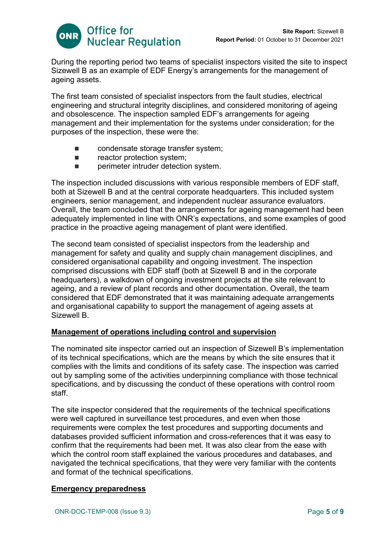

During the reporting period two teams of specialist inspectors visited the site to inspect Sizewell B as an example of EDF Energy's arrangements for the management of ageing assets.

The first team consisted of specialist inspectors from the fault studies, electrical engineering and structural integrity disciplines, and considered monitoring of ageing and obsolescence. The inspection sampled EDF's arrangements for ageing management and their implementation for the systems under consideration; for the purposes of the inspection, these were the:

- condensate storage transfer system;
- **Example 2** reactor protection system;
- **E** perimeter intruder detection system.

The inspection included discussions with various responsible members of EDF staff, both at Sizewell B and at the central corporate headquarters. This included system engineers, senior management, and independent nuclear assurance evaluators. Overall, the team concluded that the arrangements for ageing management had been adequately implemented in line with ONR's expectations, and some examples of good practice in the proactive ageing management of plant were identified.

The second team consisted of specialist inspectors from the leadership and management for safety and quality and supply chain management disciplines, and considered organisational capability and ongoing investment. The inspection comprised discussions with EDF staff (both at Sizewell B and in the corporate headquarters), a walkdown of ongoing investment projects at the site relevant to ageing, and a review of plant records and other documentation. Overall, the team considered that EDF demonstrated that it was maintaining adequate arrangements and organisational capability to support the management of ageing assets at Sizewell B.

#### **Management of operations including control and supervision**

The nominated site inspector carried out an inspection of Sizewell B's implementation of its technical specifications, which are the means by which the site ensures that it complies with the limits and conditions of its safety case. The inspection was carried out by sampling some of the activities underpinning compliance with those technical specifications, and by discussing the conduct of these operations with control room staff.

The site inspector considered that the requirements of the technical specifications were well captured in surveillance test procedures, and even when those requirements were complex the test procedures and supporting documents and databases provided sufficient information and cross-references that it was easy to confirm that the requirements had been met. It was also clear from the ease with which the control room staff explained the various procedures and databases, and navigated the technical specifications, that they were very familiar with the contents and format of the technical specifications.

#### **Emergency preparedness**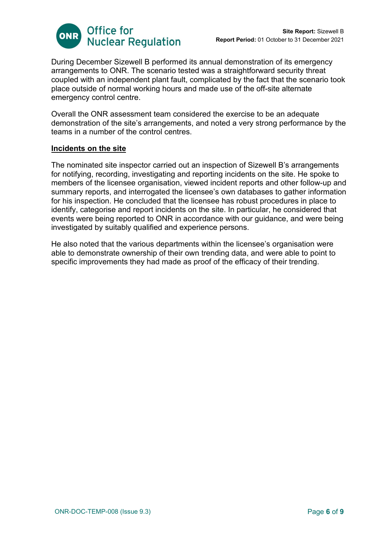

During December Sizewell B performed its annual demonstration of its emergency arrangements to ONR. The scenario tested was a straightforward security threat coupled with an independent plant fault, complicated by the fact that the scenario took place outside of normal working hours and made use of the off-site alternate emergency control centre.

Overall the ONR assessment team considered the exercise to be an adequate demonstration of the site's arrangements, and noted a very strong performance by the teams in a number of the control centres.

#### **Incidents on the site**

The nominated site inspector carried out an inspection of Sizewell B's arrangements for notifying, recording, investigating and reporting incidents on the site. He spoke to members of the licensee organisation, viewed incident reports and other follow-up and summary reports, and interrogated the licensee's own databases to gather information for his inspection. He concluded that the licensee has robust procedures in place to identify, categorise and report incidents on the site. In particular, he considered that events were being reported to ONR in accordance with our guidance, and were being investigated by suitably qualified and experience persons.

He also noted that the various departments within the licensee's organisation were able to demonstrate ownership of their own trending data, and were able to point to specific improvements they had made as proof of the efficacy of their trending.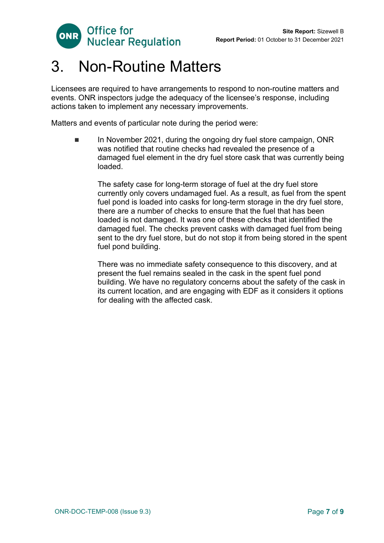

## <span id="page-6-0"></span>3. Non-Routine Matters

Licensees are required to have arrangements to respond to non-routine matters and events. ONR inspectors judge the adequacy of the licensee's response, including actions taken to implement any necessary improvements.

Matters and events of particular note during the period were:

 In November 2021, during the ongoing dry fuel store campaign, ONR was notified that routine checks had revealed the presence of a damaged fuel element in the dry fuel store cask that was currently being loaded.

The safety case for long-term storage of fuel at the dry fuel store currently only covers undamaged fuel. As a result, as fuel from the spent fuel pond is loaded into casks for long-term storage in the dry fuel store, there are a number of checks to ensure that the fuel that has been loaded is not damaged. It was one of these checks that identified the damaged fuel. The checks prevent casks with damaged fuel from being sent to the dry fuel store, but do not stop it from being stored in the spent fuel pond building.

There was no immediate safety consequence to this discovery, and at present the fuel remains sealed in the cask in the spent fuel pond building. We have no regulatory concerns about the safety of the cask in its current location, and are engaging with EDF as it considers it options for dealing with the affected cask.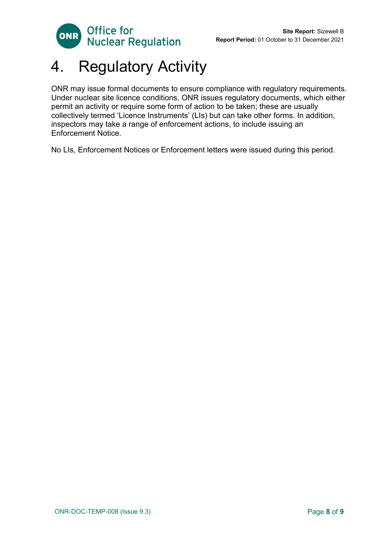

# <span id="page-7-0"></span>4. Regulatory Activity

ONR may issue formal documents to ensure compliance with regulatory requirements. Under nuclear site licence conditions, ONR issues regulatory documents, which either permit an activity or require some form of action to be taken; these are usually collectively termed 'Licence Instruments' (LIs) but can take other forms. In addition, inspectors may take a range of enforcement actions, to include issuing an Enforcement Notice.

No LIs, Enforcement Notices or Enforcement letters were issued during this period.